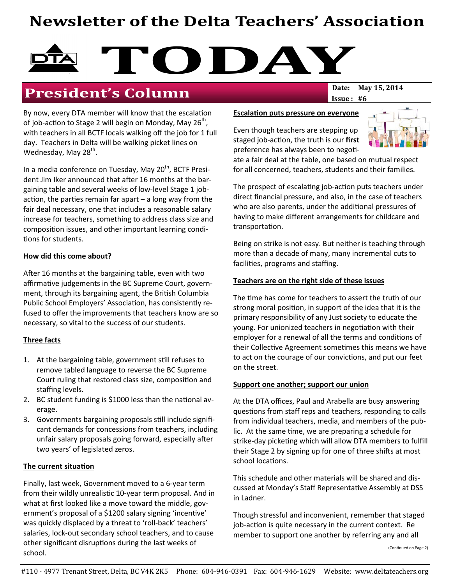## Newsletter of the Delta Teachers' Association

# TODAY<sub>Date: May 15, 2014</sub>

## **President's Column**

By now, every DTA member will know that the escalation of job-action to Stage 2 will begin on Monday, May 26<sup>th</sup>, with teachers in all BCTF locals walking off the job for 1 full day. Teachers in Delta will be walking picket lines on Wednesday, May 28<sup>th</sup>.

In a media conference on Tuesday, May 20<sup>th</sup>, BCTF President Jim Iker announced that after 16 months at the bargaining table and several weeks of low-level Stage 1 jobaction, the parties remain far apart  $-$  a long way from the fair deal necessary, one that includes a reasonable salary increase for teachers, something to address class size and composition issues, and other important learning conditions for students.

#### How did this come about?

After 16 months at the bargaining table, even with two affirmative judgements in the BC Supreme Court, government, through its bargaining agent, the British Columbia Public School Employers' Association, has consistently refused to offer the improvements that teachers know are so necessary, so vital to the success of our students.

#### Three facts

- 1. At the bargaining table, government still refuses to remove tabled language to reverse the BC Supreme Court ruling that restored class size, composition and staffing levels.
- 2. BC student funding is  $$1000$  less than the national average.
- 3. Governments bargaining proposals still include significant demands for concessions from teachers, including unfair salary proposals going forward, especially after two years' of legislated zeros.

#### The current situation

Finally, last week, Government moved to a 6-year term from their wildly unrealistic 10-year term proposal. And in what at first looked like a move toward the middle, government's proposal of a \$1200 salary signing 'incentive' was quickly displaced by a threat to 'roll-back' teachers' salaries, lock-out secondary school teachers, and to cause other significant disruptions during the last weeks of school.

 $Issue: #6$ 

#### Escalation puts pressure on everyone

Even though teachers are stepping up staged job-action, the truth is our first preference has always been to negoti-



ate a fair deal at the table, one based on mutual respect for all concerned, teachers, students and their families.

The prospect of escalating job-action puts teachers under direct financial pressure, and also, in the case of teachers who are also parents, under the additional pressures of having to make different arrangements for childcare and transportation.

Being on strike is not easy. But neither is teaching through more than a decade of many, many incremental cuts to facilities, programs and staffing.

#### Teachers are on the right side of these issues

The time has come for teachers to assert the truth of our strong moral position, in support of the idea that it is the primary responsibility of any Just society to educate the young. For unionized teachers in negotiation with their employer for a renewal of all the terms and conditions of their Collective Agreement sometimes this means we have to act on the courage of our convictions, and put our feet on the street.

#### Support one another; support our union

At the DTA offices, Paul and Arabella are busy answering questions from staff reps and teachers, responding to calls from individual teachers, media, and members of the public. At the same time, we are preparing a schedule for strike-day picketing which will allow DTA members to fulfill their Stage 2 by signing up for one of three shifts at most school locations.

This schedule and other materials will be shared and discussed at Monday's Staff Representative Assembly at DSS in Ladner.

Though stressful and inconvenient, remember that staged job-action is quite necessary in the current context. Re member to support one another by referring any and all

(Continued on Page 2)